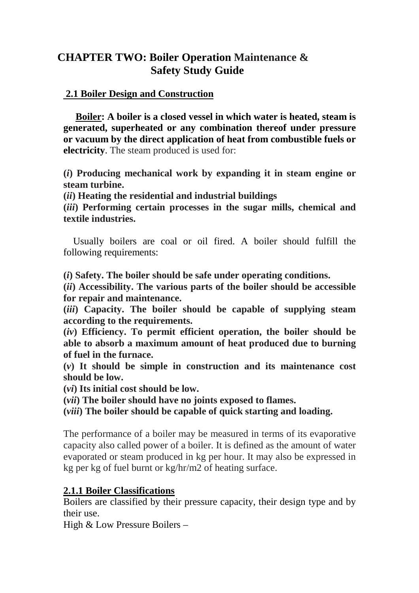# **CHAPTER TWO: Boiler Operation Maintenance & Safety Study Guide**

#### **2.1 Boiler Design and Construction**

 **Boiler: A boiler is a closed vessel in which water is heated, steam is generated, superheated or any combination thereof under pressure or vacuum by the direct application of heat from combustible fuels or electricity**. The steam produced is used for:

**(***i***) Producing mechanical work by expanding it in steam engine or steam turbine.** 

**(***ii***) Heating the residential and industrial buildings** 

**(***iii***) Performing certain processes in the sugar mills, chemical and textile industries.** 

 Usually boilers are coal or oil fired. A boiler should fulfill the following requirements:

**(***i***) Safety. The boiler should be safe under operating conditions.** 

**(***ii***) Accessibility. The various parts of the boiler should be accessible for repair and maintenance.** 

**(***iii***) Capacity. The boiler should be capable of supplying steam according to the requirements.** 

**(***iv***) Efficiency. To permit efficient operation, the boiler should be able to absorb a maximum amount of heat produced due to burning of fuel in the furnace.** 

**(***v***) It should be simple in construction and its maintenance cost should be low.** 

**(***vi***) Its initial cost should be low.** 

**(***vii***) The boiler should have no joints exposed to flames.** 

**(***viii***) The boiler should be capable of quick starting and loading.** 

The performance of a boiler may be measured in terms of its evaporative capacity also called power of a boiler. It is defined as the amount of water evaporated or steam produced in kg per hour. It may also be expressed in kg per kg of fuel burnt or kg/hr/m2 of heating surface.

#### **2.1.1 Boiler Classifications**

Boilers are classified by their pressure capacity, their design type and by their use.

High & Low Pressure Boilers –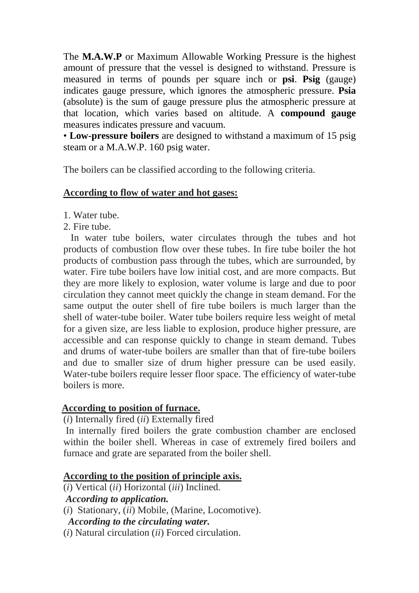The **M.A.W.P** or Maximum Allowable Working Pressure is the highest amount of pressure that the vessel is designed to withstand. Pressure is measured in terms of pounds per square inch or **psi**. **Psig** (gauge) indicates gauge pressure, which ignores the atmospheric pressure. **Psia**  (absolute) is the sum of gauge pressure plus the atmospheric pressure at that location, which varies based on altitude. A **compound gauge**  measures indicates pressure and vacuum.

• **Low-pressure boilers** are designed to withstand a maximum of 15 psig steam or a M.A.W.P. 160 psig water.

The boilers can be classified according to the following criteria.

# **According to flow of water and hot gases:**

- 1. Water tube.
- 2. Fire tube.

 In water tube boilers, water circulates through the tubes and hot products of combustion flow over these tubes. In fire tube boiler the hot products of combustion pass through the tubes, which are surrounded, by water. Fire tube boilers have low initial cost, and are more compacts. But they are more likely to explosion, water volume is large and due to poor circulation they cannot meet quickly the change in steam demand. For the same output the outer shell of fire tube boilers is much larger than the shell of water-tube boiler. Water tube boilers require less weight of metal for a given size, are less liable to explosion, produce higher pressure, are accessible and can response quickly to change in steam demand. Tubes and drums of water-tube boilers are smaller than that of fire-tube boilers and due to smaller size of drum higher pressure can be used easily. Water-tube boilers require lesser floor space. The efficiency of water-tube boilers is more.

# **According to position of furnace.**

(*i*) Internally fired (*ii*) Externally fired

In internally fired boilers the grate combustion chamber are enclosed within the boiler shell. Whereas in case of extremely fired boilers and furnace and grate are separated from the boiler shell.

# **According to the position of principle axis.**

- (*i*) Vertical (*ii*) Horizontal (*iii*) Inclined. *According to application.*
- (*i*) Stationary, (*ii*) Mobile, (Marine, Locomotive).

# *According to the circulating water.*

(*i*) Natural circulation (*ii*) Forced circulation.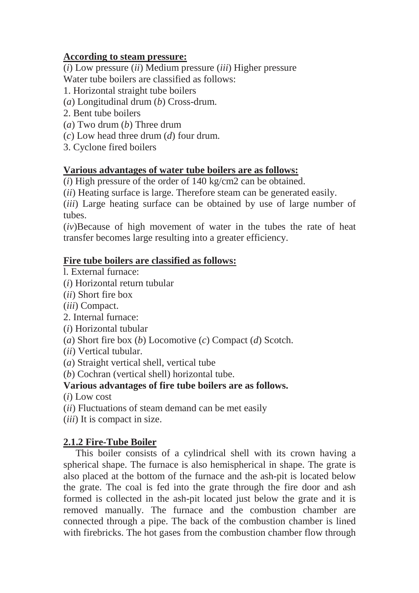### **According to steam pressure:**

(*i*) Low pressure (*ii*) Medium pressure (*iii*) Higher pressure

Water tube boilers are classified as follows:

- 1. Horizontal straight tube boilers
- (*a*) Longitudinal drum (*b*) Cross-drum.
- 2. Bent tube boilers
- (*a*) Two drum (*b*) Three drum
- (*c*) Low head three drum (*d*) four drum.
- 3. Cyclone fired boilers

# **Various advantages of water tube boilers are as follows:**

(*i*) High pressure of the order of 140 kg/cm2 can be obtained.

(*ii*) Heating surface is large. Therefore steam can be generated easily.

(*iii*) Large heating surface can be obtained by use of large number of tubes.

(*iv*)Because of high movement of water in the tubes the rate of heat transfer becomes large resulting into a greater efficiency.

# **Fire tube boilers are classified as follows:**

- l. External furnace:
- (*i*) Horizontal return tubular
- (*ii*) Short fire box
- (*iii*) Compact.
- 2. Internal furnace:
- (*i*) Horizontal tubular
- (*a*) Short fire box (*b*) Locomotive (*c*) Compact (*d*) Scotch.
- (*ii*) Vertical tubular.
- (*a*) Straight vertical shell, vertical tube
- (*b*) Cochran (vertical shell) horizontal tube.

# **Various advantages of fire tube boilers are as follows.**

- (*i*) Low cost
- (*ii*) Fluctuations of steam demand can be met easily
- (*iii*) It is compact in size.

# **2.1.2 Fire-Tube Boiler**

 This boiler consists of a cylindrical shell with its crown having a spherical shape. The furnace is also hemispherical in shape. The grate is also placed at the bottom of the furnace and the ash-pit is located below the grate. The coal is fed into the grate through the fire door and ash formed is collected in the ash-pit located just below the grate and it is removed manually. The furnace and the combustion chamber are connected through a pipe. The back of the combustion chamber is lined with firebricks. The hot gases from the combustion chamber flow through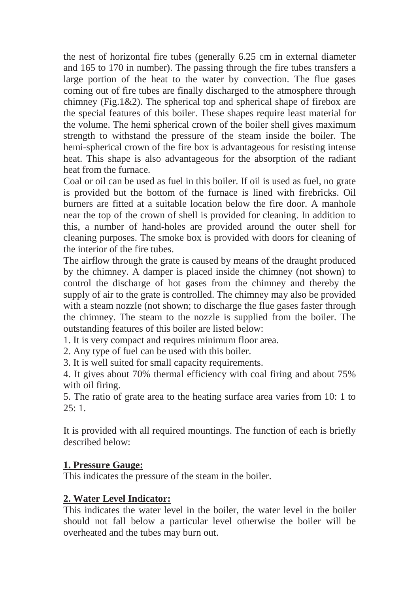the nest of horizontal fire tubes (generally 6.25 cm in external diameter and 165 to 170 in number). The passing through the fire tubes transfers a large portion of the heat to the water by convection. The flue gases coming out of fire tubes are finally discharged to the atmosphere through chimney (Fig.1&2). The spherical top and spherical shape of firebox are the special features of this boiler. These shapes require least material for the volume. The hemi spherical crown of the boiler shell gives maximum strength to withstand the pressure of the steam inside the boiler. The hemi-spherical crown of the fire box is advantageous for resisting intense heat. This shape is also advantageous for the absorption of the radiant heat from the furnace.

Coal or oil can be used as fuel in this boiler. If oil is used as fuel, no grate is provided but the bottom of the furnace is lined with firebricks. Oil burners are fitted at a suitable location below the fire door. A manhole near the top of the crown of shell is provided for cleaning. In addition to this, a number of hand-holes are provided around the outer shell for cleaning purposes. The smoke box is provided with doors for cleaning of the interior of the fire tubes.

The airflow through the grate is caused by means of the draught produced by the chimney. A damper is placed inside the chimney (not shown) to control the discharge of hot gases from the chimney and thereby the supply of air to the grate is controlled. The chimney may also be provided with a steam nozzle (not shown; to discharge the flue gases faster through the chimney. The steam to the nozzle is supplied from the boiler. The outstanding features of this boiler are listed below:

1. It is very compact and requires minimum floor area.

2. Any type of fuel can be used with this boiler.

3. It is well suited for small capacity requirements.

4. It gives about 70% thermal efficiency with coal firing and about 75% with oil firing.

5. The ratio of grate area to the heating surface area varies from 10: 1 to  $25:1$ .

It is provided with all required mountings. The function of each is briefly described below:

#### **1. Pressure Gauge:**

This indicates the pressure of the steam in the boiler.

# **2. Water Level Indicator:**

This indicates the water level in the boiler, the water level in the boiler should not fall below a particular level otherwise the boiler will be overheated and the tubes may burn out.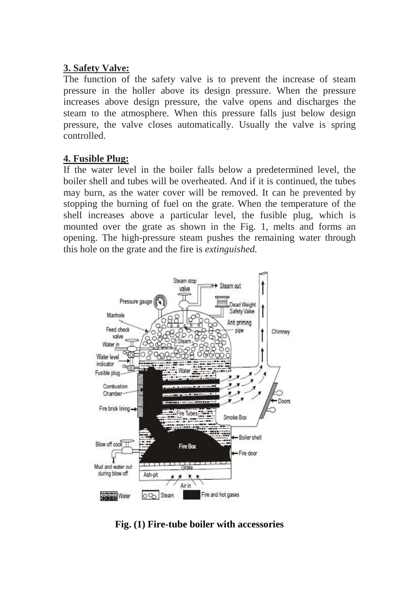### **3. Safety Valve:**

The function of the safety valve is to prevent the increase of steam pressure in the holler above its design pressure. When the pressure increases above design pressure, the valve opens and discharges the steam to the atmosphere. When this pressure falls just below design pressure, the valve closes automatically. Usually the valve is spring controlled.

# **4. Fusible Plug:**

If the water level in the boiler falls below a predetermined level, the boiler shell and tubes will be overheated. And if it is continued, the tubes may burn, as the water cover will be removed. It can he prevented by stopping the burning of fuel on the grate. When the temperature of the shell increases above a particular level, the fusible plug, which is mounted over the grate as shown in the Fig. 1, melts and forms an opening. The high-pressure steam pushes the remaining water through this hole on the grate and the fire is *extinguished.* 



 **Fig. (1) Fire-tube boiler with accessories**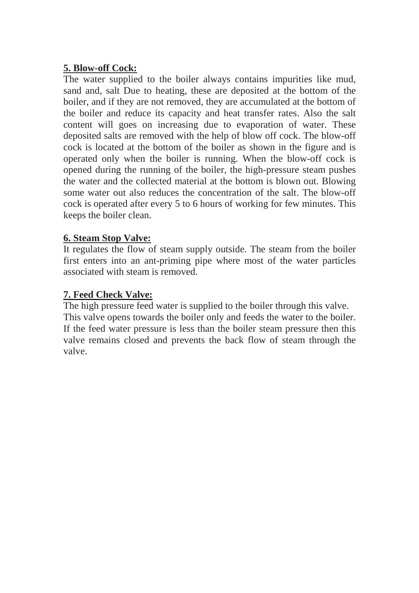### **5. Blow-off Cock:**

The water supplied to the boiler always contains impurities like mud, sand and, salt Due to heating, these are deposited at the bottom of the boiler, and if they are not removed, they are accumulated at the bottom of the boiler and reduce its capacity and heat transfer rates. Also the salt content will goes on increasing due to evaporation of water. These deposited salts are removed with the help of blow off cock. The blow-off cock is located at the bottom of the boiler as shown in the figure and is operated only when the boiler is running. When the blow-off cock is opened during the running of the boiler, the high-pressure steam pushes the water and the collected material at the bottom is blown out. Blowing some water out also reduces the concentration of the salt. The blow-off cock is operated after every 5 to 6 hours of working for few minutes. This keeps the boiler clean.

### **6. Steam Stop Valve:**

It regulates the flow of steam supply outside. The steam from the boiler first enters into an ant-priming pipe where most of the water particles associated with steam is removed.

### **7. Feed Check Valve:**

The high pressure feed water is supplied to the boiler through this valve. This valve opens towards the boiler only and feeds the water to the boiler. If the feed water pressure is less than the boiler steam pressure then this valve remains closed and prevents the back flow of steam through the valve.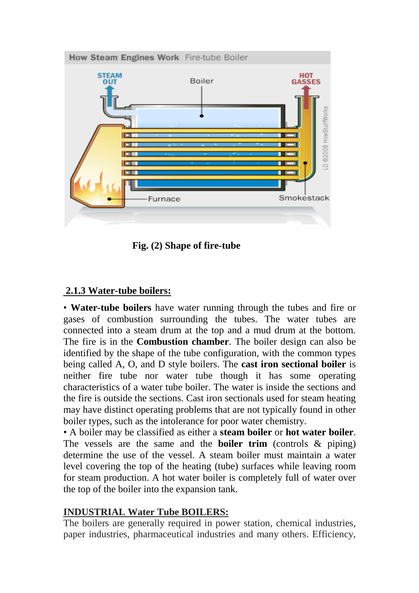

 **Fig. (2) Shape of fire-tube** 

# **2.1.3 Water-tube boilers:**

• **Water-tube boilers** have water running through the tubes and fire or gases of combustion surrounding the tubes. The water tubes are connected into a steam drum at the top and a mud drum at the bottom. The fire is in the **Combustion chamber**. The boiler design can also be identified by the shape of the tube configuration, with the common types being called A, O, and D style boilers. The **cast iron sectional boiler** is neither fire tube nor water tube though it has some operating characteristics of a water tube boiler. The water is inside the sections and the fire is outside the sections. Cast iron sectionals used for steam heating may have distinct operating problems that are not typically found in other boiler types, such as the intolerance for poor water chemistry.

• A boiler may be classified as either a **steam boiler** or **hot water boiler**. The vessels are the same and the **boiler trim** (controls & piping) determine the use of the vessel. A steam boiler must maintain a water level covering the top of the heating (tube) surfaces while leaving room for steam production. A hot water boiler is completely full of water over the top of the boiler into the expansion tank.

# **INDUSTRIAL Water Tube BOILERS:**

The boilers are generally required in power station, chemical industries, paper industries, pharmaceutical industries and many others. Efficiency,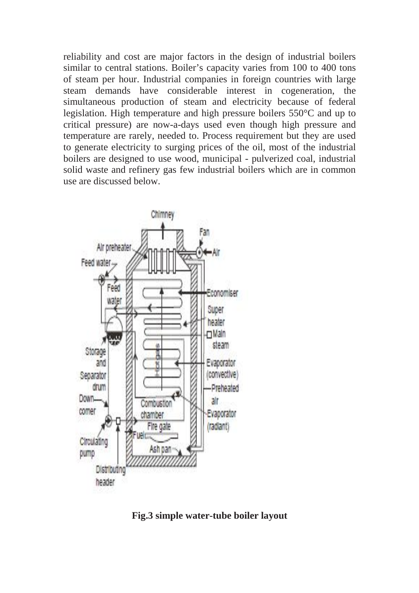reliability and cost are major factors in the design of industrial boilers similar to central stations. Boiler's capacity varies from 100 to 400 tons of steam per hour. Industrial companies in foreign countries with large steam demands have considerable interest in cogeneration, the simultaneous production of steam and electricity because of federal steam demands have considerable interest in cogeneration, the simultaneous production of steam and electricity because of federal legislation. High temperature and high pressure boilers 550°C and up to critical pressure) are now--a-days used even though high pressure and temperature are rarely, needed to. Process requirement but they are used to generate electricity to surging prices of the oil, most of the industrial boilers are designed to use wood, municipal - pulverized coal, industrial solid waste and refinery gas few industrial boilers which are in common use are discussed below. days used even though high pressure and<br>d to. Process requirement but they are used<br>ging prices of the oil, most of the industrial



**Fig.3 simple water water-tube boiler layout**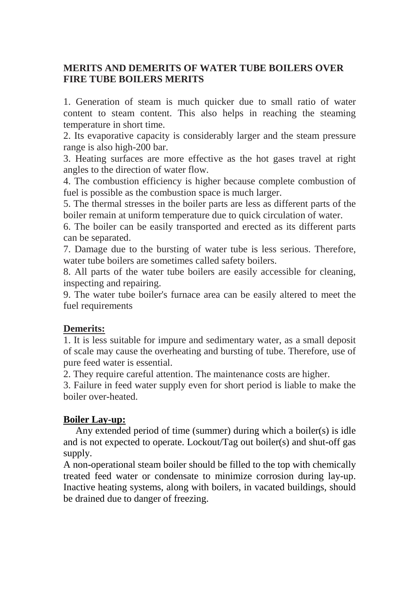# **MERITS AND DEMERITS OF WATER TUBE BOILERS OVER FIRE TUBE BOILERS MERITS**

1. Generation of steam is much quicker due to small ratio of water content to steam content. This also helps in reaching the steaming temperature in short time.

2. Its evaporative capacity is considerably larger and the steam pressure range is also high-200 bar.

3. Heating surfaces are more effective as the hot gases travel at right angles to the direction of water flow.

4. The combustion efficiency is higher because complete combustion of fuel is possible as the combustion space is much larger.

5. The thermal stresses in the boiler parts are less as different parts of the boiler remain at uniform temperature due to quick circulation of water.

6. The boiler can be easily transported and erected as its different parts can be separated.

7. Damage due to the bursting of water tube is less serious. Therefore, water tube boilers are sometimes called safety boilers.

8. All parts of the water tube boilers are easily accessible for cleaning, inspecting and repairing.

9. The water tube boiler's furnace area can be easily altered to meet the fuel requirements

#### **Demerits:**

1. It is less suitable for impure and sedimentary water, as a small deposit of scale may cause the overheating and bursting of tube. Therefore, use of pure feed water is essential.

2. They require careful attention. The maintenance costs are higher.

3. Failure in feed water supply even for short period is liable to make the boiler over-heated.

# **Boiler Lay-up:**

 Any extended period of time (summer) during which a boiler(s) is idle and is not expected to operate. Lockout/Tag out boiler(s) and shut-off gas supply.

A non-operational steam boiler should be filled to the top with chemically treated feed water or condensate to minimize corrosion during lay-up. Inactive heating systems, along with boilers, in vacated buildings, should be drained due to danger of freezing.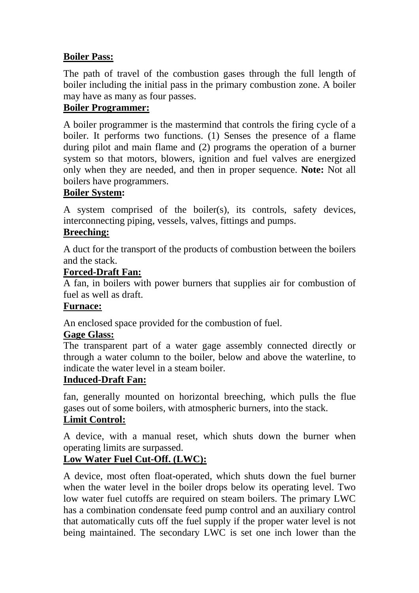### **Boiler Pass:**

The path of travel of the combustion gases through the full length of boiler including the initial pass in the primary combustion zone. A boiler may have as many as four passes.

### **Boiler Programmer:**

A boiler programmer is the mastermind that controls the firing cycle of a boiler. It performs two functions. (1) Senses the presence of a flame during pilot and main flame and (2) programs the operation of a burner system so that motors, blowers, ignition and fuel valves are energized only when they are needed, and then in proper sequence. **Note:** Not all boilers have programmers.

### **Boiler System:**

A system comprised of the boiler(s), its controls, safety devices, interconnecting piping, vessels, valves, fittings and pumps.

# **Breeching:**

A duct for the transport of the products of combustion between the boilers and the stack.

#### **Forced-Draft Fan:**

A fan, in boilers with power burners that supplies air for combustion of fuel as well as draft.

#### **Furnace:**

An enclosed space provided for the combustion of fuel.

# **Gage Glass:**

The transparent part of a water gage assembly connected directly or through a water column to the boiler, below and above the waterline, to indicate the water level in a steam boiler.

#### **Induced-Draft Fan:**

fan, generally mounted on horizontal breeching, which pulls the flue gases out of some boilers, with atmospheric burners, into the stack.

# **Limit Control:**

A device, with a manual reset, which shuts down the burner when operating limits are surpassed.

# **Low Water Fuel Cut-Off. (LWC):**

A device, most often float-operated, which shuts down the fuel burner when the water level in the boiler drops below its operating level. Two low water fuel cutoffs are required on steam boilers. The primary LWC has a combination condensate feed pump control and an auxiliary control that automatically cuts off the fuel supply if the proper water level is not being maintained. The secondary LWC is set one inch lower than the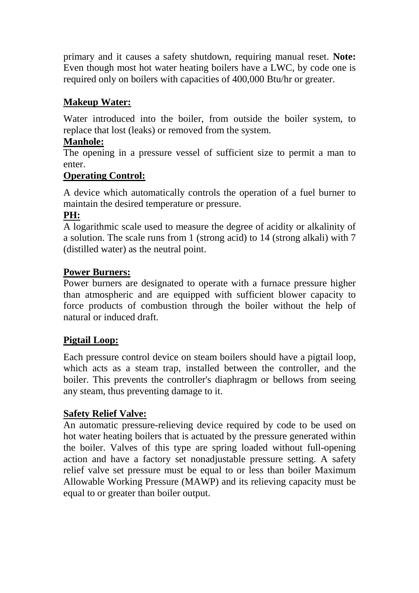primary and it causes a safety shutdown, requiring manual reset. **Note:**  Even though most hot water heating boilers have a LWC, by code one is required only on boilers with capacities of 400,000 Btu/hr or greater.

# **Makeup Water:**

Water introduced into the boiler, from outside the boiler system, to replace that lost (leaks) or removed from the system.

#### **Manhole:**

The opening in a pressure vessel of sufficient size to permit a man to enter.

#### **Operating Control:**

A device which automatically controls the operation of a fuel burner to maintain the desired temperature or pressure.

### **PH:**

A logarithmic scale used to measure the degree of acidity or alkalinity of a solution. The scale runs from 1 (strong acid) to 14 (strong alkali) with 7 (distilled water) as the neutral point.

### **Power Burners:**

Power burners are designated to operate with a furnace pressure higher than atmospheric and are equipped with sufficient blower capacity to force products of combustion through the boiler without the help of natural or induced draft.

# **Pigtail Loop:**

Each pressure control device on steam boilers should have a pigtail loop, which acts as a steam trap, installed between the controller, and the boiler. This prevents the controller's diaphragm or bellows from seeing any steam, thus preventing damage to it.

#### **Safety Relief Valve:**

An automatic pressure-relieving device required by code to be used on hot water heating boilers that is actuated by the pressure generated within the boiler. Valves of this type are spring loaded without full-opening action and have a factory set nonadjustable pressure setting. A safety relief valve set pressure must be equal to or less than boiler Maximum Allowable Working Pressure (MAWP) and its relieving capacity must be equal to or greater than boiler output.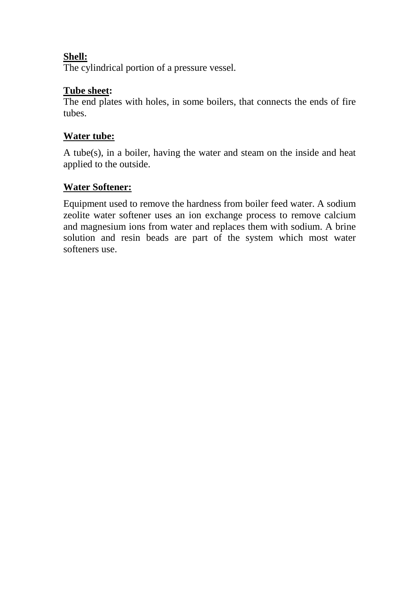### **Shell:**

The cylindrical portion of a pressure vessel.

#### **Tube sheet:**

The end plates with holes, in some boilers, that connects the ends of fire tubes.

# **Water tube:**

A tube(s), in a boiler, having the water and steam on the inside and heat applied to the outside.

### **Water Softener:**

Equipment used to remove the hardness from boiler feed water. A sodium zeolite water softener uses an ion exchange process to remove calcium and magnesium ions from water and replaces them with sodium. A brine solution and resin beads are part of the system which most water softeners use.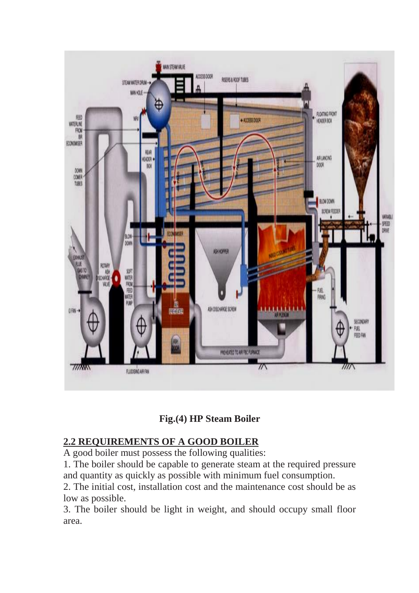



# **2.2 REQUIREMENTS OF A GOOD BOILER**

A good boiler must possess the following qualities:

1. The boiler should be capable to generate steam at the required pressure and quantity as quickly as possible with minimum fuel consumption.

2. The initial cost, installation cost and the maintenance cost should be as low as possible.

3. The boiler should be light in weight, and should occupy small floor area.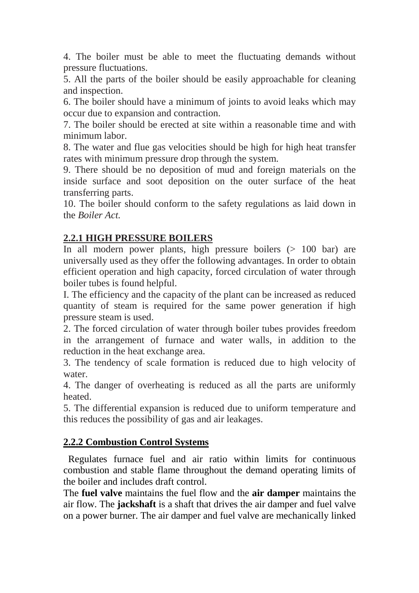4. The boiler must be able to meet the fluctuating demands without pressure fluctuations.

5. All the parts of the boiler should be easily approachable for cleaning and inspection.

6. The boiler should have a minimum of joints to avoid leaks which may occur due to expansion and contraction.

7. The boiler should be erected at site within a reasonable time and with minimum labor.

8. The water and flue gas velocities should be high for high heat transfer rates with minimum pressure drop through the system.

9. There should be no deposition of mud and foreign materials on the inside surface and soot deposition on the outer surface of the heat transferring parts.

10. The boiler should conform to the safety regulations as laid down in the *Boiler Act.* 

# **2.2.1 HIGH PRESSURE BOILERS**

In all modern power plants, high pressure boilers (> 100 bar) are universally used as they offer the following advantages. In order to obtain efficient operation and high capacity, forced circulation of water through boiler tubes is found helpful.

I. The efficiency and the capacity of the plant can be increased as reduced quantity of steam is required for the same power generation if high pressure steam is used.

2. The forced circulation of water through boiler tubes provides freedom in the arrangement of furnace and water walls, in addition to the reduction in the heat exchange area.

3. The tendency of scale formation is reduced due to high velocity of water.

4. The danger of overheating is reduced as all the parts are uniformly heated.

5. The differential expansion is reduced due to uniform temperature and this reduces the possibility of gas and air leakages.

# **2.2.2 Combustion Control Systems**

 Regulates furnace fuel and air ratio within limits for continuous combustion and stable flame throughout the demand operating limits of the boiler and includes draft control.

The **fuel valve** maintains the fuel flow and the **air damper** maintains the air flow. The **jackshaft** is a shaft that drives the air damper and fuel valve on a power burner. The air damper and fuel valve are mechanically linked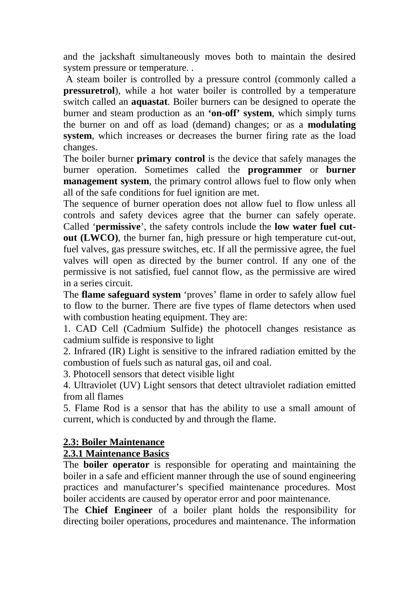and the jackshaft simultaneously moves both to maintain the desired system pressure or temperature. .

A steam boiler is controlled by a pressure control (commonly called a **pressuretrol**), while a hot water boiler is controlled by a temperature switch called an **aquastat**. Boiler burners can be designed to operate the burner and steam production as an **'on-off' system**, which simply turns the burner on and off as load (demand) changes; or as a **modulating system**, which increases or decreases the burner firing rate as the load changes.

The boiler burner **primary control** is the device that safely manages the burner operation. Sometimes called the **programmer** or **burner management system**, the primary control allows fuel to flow only when all of the safe conditions for fuel ignition are met.

The sequence of burner operation does not allow fuel to flow unless all controls and safety devices agree that the burner can safely operate. Called '**permissive**', the safety controls include the **low water fuel cutout (LWCO)**, the burner fan, high pressure or high temperature cut-out, fuel valves, gas pressure switches, etc. If all the permissive agree, the fuel valves will open as directed by the burner control. If any one of the permissive is not satisfied, fuel cannot flow, as the permissive are wired in a series circuit.

The **flame safeguard system** 'proves' flame in order to safely allow fuel to flow to the burner. There are five types of flame detectors when used with combustion heating equipment. They are:

1. CAD Cell (Cadmium Sulfide) the photocell changes resistance as cadmium sulfide is responsive to light

2. Infrared (IR) Light is sensitive to the infrared radiation emitted by the combustion of fuels such as natural gas, oil and coal.

3. Photocell sensors that detect visible light

4. Ultraviolet (UV) Light sensors that detect ultraviolet radiation emitted from all flames

5. Flame Rod is a sensor that has the ability to use a small amount of current, which is conducted by and through the flame.

# **2.3: Boiler Maintenance**

# **2.3.1 Maintenance Basics**

The **boiler operator** is responsible for operating and maintaining the boiler in a safe and efficient manner through the use of sound engineering practices and manufacturer's specified maintenance procedures. Most boiler accidents are caused by operator error and poor maintenance.

The **Chief Engineer** of a boiler plant holds the responsibility for directing boiler operations, procedures and maintenance. The information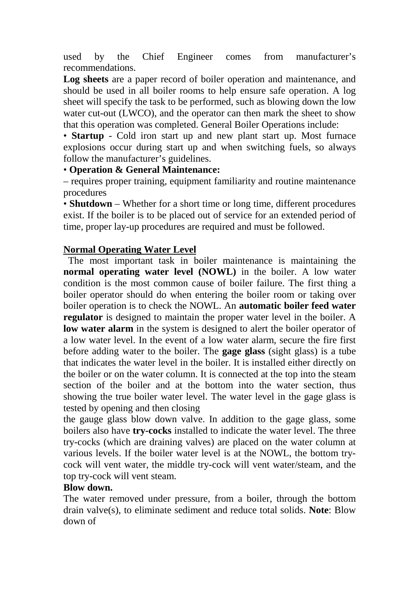used by the Chief Engineer comes from manufacturer's recommendations.

**Log sheets** are a paper record of boiler operation and maintenance, and should be used in all boiler rooms to help ensure safe operation. A log sheet will specify the task to be performed, such as blowing down the low water cut-out (LWCO), and the operator can then mark the sheet to show that this operation was completed. General Boiler Operations include:

• **Startup** - Cold iron start up and new plant start up. Most furnace explosions occur during start up and when switching fuels, so always follow the manufacturer's guidelines.

#### • **Operation & General Maintenance:**

– requires proper training, equipment familiarity and routine maintenance procedures

• **Shutdown** – Whether for a short time or long time, different procedures exist. If the boiler is to be placed out of service for an extended period of time, proper lay-up procedures are required and must be followed.

### **Normal Operating Water Level**

 The most important task in boiler maintenance is maintaining the **normal operating water level (NOWL)** in the boiler. A low water condition is the most common cause of boiler failure. The first thing a boiler operator should do when entering the boiler room or taking over boiler operation is to check the NOWL. An **automatic boiler feed water regulator** is designed to maintain the proper water level in the boiler. A **low water alarm** in the system is designed to alert the boiler operator of a low water level. In the event of a low water alarm, secure the fire first before adding water to the boiler. The **gage glass** (sight glass) is a tube that indicates the water level in the boiler. It is installed either directly on the boiler or on the water column. It is connected at the top into the steam section of the boiler and at the bottom into the water section, thus showing the true boiler water level. The water level in the gage glass is tested by opening and then closing

the gauge glass blow down valve. In addition to the gage glass, some boilers also have **try-cocks** installed to indicate the water level. The three try-cocks (which are draining valves) are placed on the water column at various levels. If the boiler water level is at the NOWL, the bottom trycock will vent water, the middle try-cock will vent water/steam, and the top try-cock will vent steam.

#### **Blow down.**

The water removed under pressure, from a boiler, through the bottom drain valve(s), to eliminate sediment and reduce total solids. **Note**: Blow down of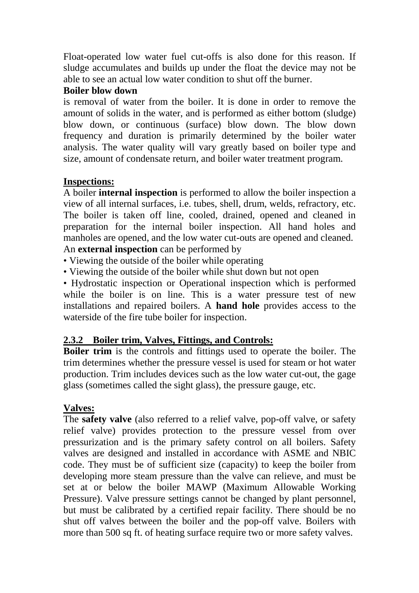Float-operated low water fuel cut-offs is also done for this reason. If sludge accumulates and builds up under the float the device may not be able to see an actual low water condition to shut off the burner.

### **Boiler blow down**

is removal of water from the boiler. It is done in order to remove the amount of solids in the water, and is performed as either bottom (sludge) blow down, or continuous (surface) blow down. The blow down frequency and duration is primarily determined by the boiler water analysis. The water quality will vary greatly based on boiler type and size, amount of condensate return, and boiler water treatment program.

### **Inspections:**

A boiler **internal inspection** is performed to allow the boiler inspection a view of all internal surfaces, i.e. tubes, shell, drum, welds, refractory, etc. The boiler is taken off line, cooled, drained, opened and cleaned in preparation for the internal boiler inspection. All hand holes and manholes are opened, and the low water cut-outs are opened and cleaned. An **external inspection** can be performed by

• Viewing the outside of the boiler while operating

• Viewing the outside of the boiler while shut down but not open

• Hydrostatic inspection or Operational inspection which is performed while the boiler is on line. This is a water pressure test of new installations and repaired boilers. A **hand hole** provides access to the waterside of the fire tube boiler for inspection.

# **2.3.2 Boiler trim, Valves, Fittings, and Controls:**

**Boiler trim** is the controls and fittings used to operate the boiler. The trim determines whether the pressure vessel is used for steam or hot water production. Trim includes devices such as the low water cut-out, the gage glass (sometimes called the sight glass), the pressure gauge, etc.

# **Valves:**

The **safety valve** (also referred to a relief valve, pop-off valve, or safety relief valve) provides protection to the pressure vessel from over pressurization and is the primary safety control on all boilers. Safety valves are designed and installed in accordance with ASME and NBIC code. They must be of sufficient size (capacity) to keep the boiler from developing more steam pressure than the valve can relieve, and must be set at or below the boiler MAWP (Maximum Allowable Working Pressure). Valve pressure settings cannot be changed by plant personnel, but must be calibrated by a certified repair facility. There should be no shut off valves between the boiler and the pop-off valve. Boilers with more than 500 sq ft. of heating surface require two or more safety valves.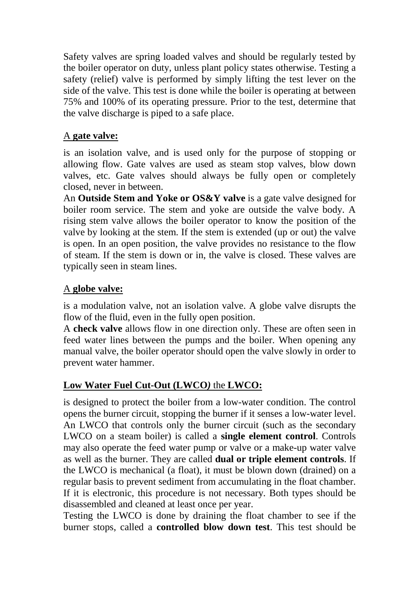Safety valves are spring loaded valves and should be regularly tested by the boiler operator on duty, unless plant policy states otherwise. Testing a safety (relief) valve is performed by simply lifting the test lever on the side of the valve. This test is done while the boiler is operating at between 75% and 100% of its operating pressure. Prior to the test, determine that the valve discharge is piped to a safe place.

# A **gate valve:**

is an isolation valve, and is used only for the purpose of stopping or allowing flow. Gate valves are used as steam stop valves, blow down valves, etc. Gate valves should always be fully open or completely closed, never in between.

An **Outside Stem and Yoke or OS&Y valve** is a gate valve designed for boiler room service. The stem and yoke are outside the valve body. A rising stem valve allows the boiler operator to know the position of the valve by looking at the stem. If the stem is extended (up or out) the valve is open. In an open position, the valve provides no resistance to the flow of steam. If the stem is down or in, the valve is closed. These valves are typically seen in steam lines.

# A **globe valve:**

is a modulation valve, not an isolation valve. A globe valve disrupts the flow of the fluid, even in the fully open position.

A **check valve** allows flow in one direction only. These are often seen in feed water lines between the pumps and the boiler. When opening any manual valve, the boiler operator should open the valve slowly in order to prevent water hammer.

# **Low Water Fuel Cut-Out (LWCO***)* the **LWCO:**

is designed to protect the boiler from a low-water condition. The control opens the burner circuit, stopping the burner if it senses a low-water level. An LWCO that controls only the burner circuit (such as the secondary LWCO on a steam boiler) is called a **single element control**. Controls may also operate the feed water pump or valve or a make-up water valve as well as the burner. They are called **dual or triple element controls**. If the LWCO is mechanical (a float), it must be blown down (drained) on a regular basis to prevent sediment from accumulating in the float chamber. If it is electronic, this procedure is not necessary. Both types should be disassembled and cleaned at least once per year.

Testing the LWCO is done by draining the float chamber to see if the burner stops, called a **controlled blow down test**. This test should be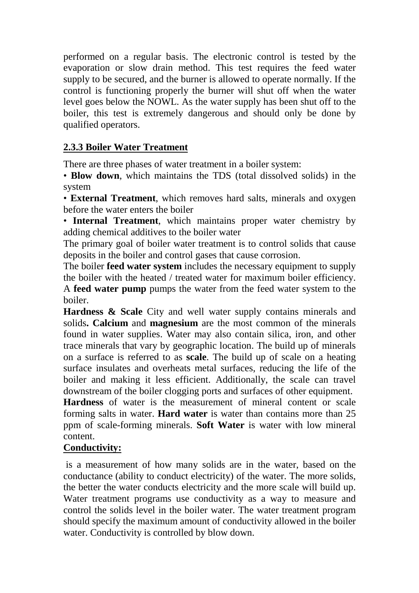performed on a regular basis. The electronic control is tested by the evaporation or slow drain method. This test requires the feed water supply to be secured, and the burner is allowed to operate normally. If the control is functioning properly the burner will shut off when the water level goes below the NOWL. As the water supply has been shut off to the boiler, this test is extremely dangerous and should only be done by qualified operators.

# **2.3.3 Boiler Water Treatment**

There are three phases of water treatment in a boiler system:

• **Blow down**, which maintains the TDS (total dissolved solids) in the system

• **External Treatment**, which removes hard salts, minerals and oxygen before the water enters the boiler

• **Internal Treatment**, which maintains proper water chemistry by adding chemical additives to the boiler water

The primary goal of boiler water treatment is to control solids that cause deposits in the boiler and control gases that cause corrosion.

The boiler **feed water system** includes the necessary equipment to supply the boiler with the heated / treated water for maximum boiler efficiency. A **feed water pump** pumps the water from the feed water system to the boiler.

**Hardness & Scale** City and well water supply contains minerals and solids**. Calcium** and **magnesium** are the most common of the minerals found in water supplies. Water may also contain silica, iron, and other trace minerals that vary by geographic location. The build up of minerals on a surface is referred to as **scale**. The build up of scale on a heating surface insulates and overheats metal surfaces, reducing the life of the boiler and making it less efficient. Additionally, the scale can travel downstream of the boiler clogging ports and surfaces of other equipment.

**Hardness** of water is the measurement of mineral content or scale forming salts in water. **Hard water** is water than contains more than 25 ppm of scale-forming minerals. **Soft Water** is water with low mineral content.

# **Conductivity:**

is a measurement of how many solids are in the water, based on the conductance (ability to conduct electricity) of the water. The more solids, the better the water conducts electricity and the more scale will build up. Water treatment programs use conductivity as a way to measure and control the solids level in the boiler water. The water treatment program should specify the maximum amount of conductivity allowed in the boiler water. Conductivity is controlled by blow down.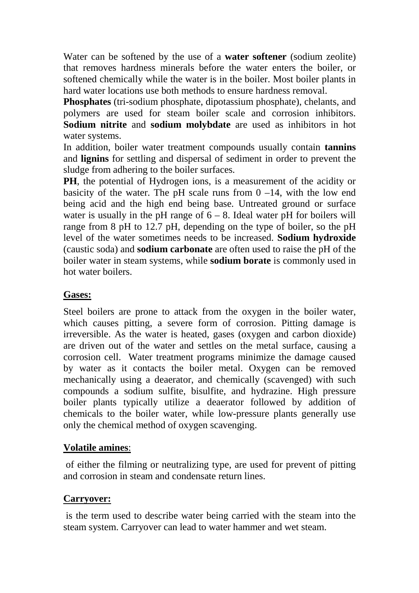Water can be softened by the use of a **water softener** (sodium zeolite) that removes hardness minerals before the water enters the boiler, or softened chemically while the water is in the boiler. Most boiler plants in hard water locations use both methods to ensure hardness removal.

**Phosphates** (tri-sodium phosphate, dipotassium phosphate), chelants, and polymers are used for steam boiler scale and corrosion inhibitors. **Sodium nitrite** and **sodium molybdate** are used as inhibitors in hot water systems.

In addition, boiler water treatment compounds usually contain **tannins**  and **lignins** for settling and dispersal of sediment in order to prevent the sludge from adhering to the boiler surfaces.

**PH**, the potential of Hydrogen ions, is a measurement of the acidity or basicity of the water. The pH scale runs from  $0 -14$ , with the low end being acid and the high end being base. Untreated ground or surface water is usually in the pH range of  $6 - 8$ . Ideal water pH for boilers will range from 8 pH to 12.7 pH, depending on the type of boiler, so the pH level of the water sometimes needs to be increased. **Sodium hydroxide**  (caustic soda) and **sodium carbonate** are often used to raise the pH of the boiler water in steam systems, while **sodium borate** is commonly used in hot water boilers.

### **Gases:**

Steel boilers are prone to attack from the oxygen in the boiler water, which causes pitting, a severe form of corrosion. Pitting damage is irreversible. As the water is heated, gases (oxygen and carbon dioxide) are driven out of the water and settles on the metal surface, causing a corrosion cell. Water treatment programs minimize the damage caused by water as it contacts the boiler metal. Oxygen can be removed mechanically using a deaerator, and chemically (scavenged) with such compounds a sodium sulfite, bisulfite, and hydrazine. High pressure boiler plants typically utilize a deaerator followed by addition of chemicals to the boiler water, while low-pressure plants generally use only the chemical method of oxygen scavenging.

# **Volatile amines**:

of either the filming or neutralizing type, are used for prevent of pitting and corrosion in steam and condensate return lines.

#### **Carryover:**

is the term used to describe water being carried with the steam into the steam system. Carryover can lead to water hammer and wet steam.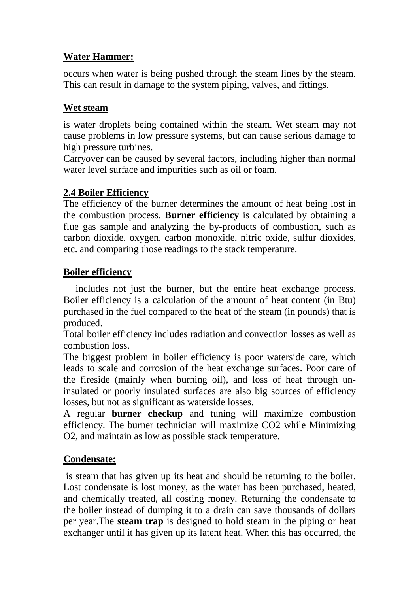### **Water Hammer:**

occurs when water is being pushed through the steam lines by the steam. This can result in damage to the system piping, valves, and fittings.

### **Wet steam**

is water droplets being contained within the steam. Wet steam may not cause problems in low pressure systems, but can cause serious damage to high pressure turbines.

Carryover can be caused by several factors, including higher than normal water level surface and impurities such as oil or foam.

### **2.4 Boiler Efficiency**

The efficiency of the burner determines the amount of heat being lost in the combustion process. **Burner efficiency** is calculated by obtaining a flue gas sample and analyzing the by-products of combustion, such as carbon dioxide, oxygen, carbon monoxide, nitric oxide, sulfur dioxides, etc. and comparing those readings to the stack temperature.

### **Boiler efficiency**

 includes not just the burner, but the entire heat exchange process. Boiler efficiency is a calculation of the amount of heat content (in Btu) purchased in the fuel compared to the heat of the steam (in pounds) that is produced.

Total boiler efficiency includes radiation and convection losses as well as combustion loss.

The biggest problem in boiler efficiency is poor waterside care, which leads to scale and corrosion of the heat exchange surfaces. Poor care of the fireside (mainly when burning oil), and loss of heat through uninsulated or poorly insulated surfaces are also big sources of efficiency losses, but not as significant as waterside losses.

A regular **burner checkup** and tuning will maximize combustion efficiency. The burner technician will maximize CO2 while Minimizing O2, and maintain as low as possible stack temperature.

# **Condensate:**

is steam that has given up its heat and should be returning to the boiler. Lost condensate is lost money, as the water has been purchased, heated, and chemically treated, all costing money. Returning the condensate to the boiler instead of dumping it to a drain can save thousands of dollars per year.The **steam trap** is designed to hold steam in the piping or heat exchanger until it has given up its latent heat. When this has occurred, the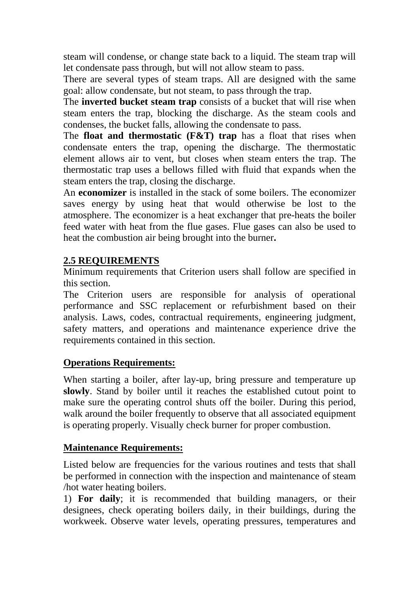steam will condense, or change state back to a liquid. The steam trap will let condensate pass through, but will not allow steam to pass.

There are several types of steam traps. All are designed with the same goal: allow condensate, but not steam, to pass through the trap.

The **inverted bucket steam trap** consists of a bucket that will rise when steam enters the trap, blocking the discharge. As the steam cools and condenses, the bucket falls, allowing the condensate to pass.

The **float and thermostatic (F&T) trap** has a float that rises when condensate enters the trap, opening the discharge. The thermostatic element allows air to vent, but closes when steam enters the trap. The thermostatic trap uses a bellows filled with fluid that expands when the steam enters the trap, closing the discharge.

An **economizer** is installed in the stack of some boilers. The economizer saves energy by using heat that would otherwise be lost to the atmosphere. The economizer is a heat exchanger that pre-heats the boiler feed water with heat from the flue gases. Flue gases can also be used to heat the combustion air being brought into the burner**.** 

# **2.5 REQUIREMENTS**

Minimum requirements that Criterion users shall follow are specified in this section.

The Criterion users are responsible for analysis of operational performance and SSC replacement or refurbishment based on their analysis. Laws, codes, contractual requirements, engineering judgment, safety matters, and operations and maintenance experience drive the requirements contained in this section.

# **Operations Requirements:**

When starting a boiler, after lay-up, bring pressure and temperature up **slowly**. Stand by boiler until it reaches the established cutout point to make sure the operating control shuts off the boiler. During this period, walk around the boiler frequently to observe that all associated equipment is operating properly. Visually check burner for proper combustion.

# **Maintenance Requirements:**

Listed below are frequencies for the various routines and tests that shall be performed in connection with the inspection and maintenance of steam /hot water heating boilers.

1) **For daily**; it is recommended that building managers, or their designees, check operating boilers daily, in their buildings, during the workweek. Observe water levels, operating pressures, temperatures and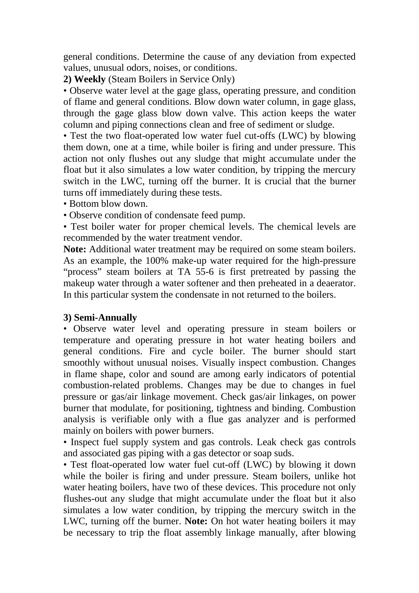general conditions. Determine the cause of any deviation from expected values, unusual odors, noises, or conditions.

**2) Weekly** (Steam Boilers in Service Only)

• Observe water level at the gage glass, operating pressure, and condition of flame and general conditions. Blow down water column, in gage glass, through the gage glass blow down valve. This action keeps the water column and piping connections clean and free of sediment or sludge.

• Test the two float-operated low water fuel cut-offs (LWC) by blowing them down, one at a time, while boiler is firing and under pressure. This action not only flushes out any sludge that might accumulate under the float but it also simulates a low water condition, by tripping the mercury switch in the LWC, turning off the burner. It is crucial that the burner turns off immediately during these tests.

- Bottom blow down.
- Observe condition of condensate feed pump.

• Test boiler water for proper chemical levels. The chemical levels are recommended by the water treatment vendor.

**Note:** Additional water treatment may be required on some steam boilers. As an example, the 100% make-up water required for the high-pressure "process" steam boilers at TA 55-6 is first pretreated by passing the makeup water through a water softener and then preheated in a deaerator. In this particular system the condensate in not returned to the boilers.

#### **3) Semi-Annually**

• Observe water level and operating pressure in steam boilers or temperature and operating pressure in hot water heating boilers and general conditions. Fire and cycle boiler. The burner should start smoothly without unusual noises. Visually inspect combustion. Changes in flame shape, color and sound are among early indicators of potential combustion-related problems. Changes may be due to changes in fuel pressure or gas/air linkage movement. Check gas/air linkages, on power burner that modulate, for positioning, tightness and binding. Combustion analysis is verifiable only with a flue gas analyzer and is performed mainly on boilers with power burners.

• Inspect fuel supply system and gas controls. Leak check gas controls and associated gas piping with a gas detector or soap suds.

• Test float-operated low water fuel cut-off (LWC) by blowing it down while the boiler is firing and under pressure. Steam boilers, unlike hot water heating boilers, have two of these devices. This procedure not only flushes-out any sludge that might accumulate under the float but it also simulates a low water condition, by tripping the mercury switch in the LWC, turning off the burner. **Note:** On hot water heating boilers it may be necessary to trip the float assembly linkage manually, after blowing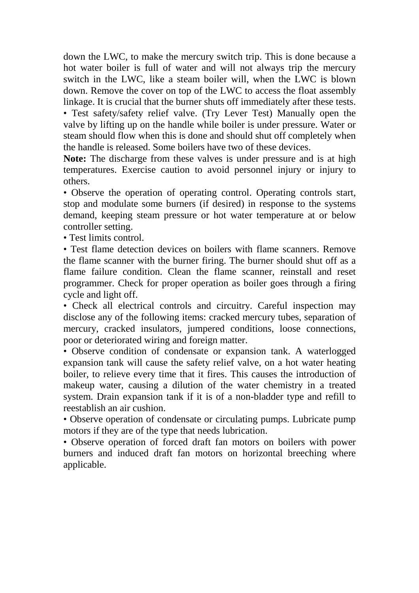down the LWC, to make the mercury switch trip. This is done because a hot water boiler is full of water and will not always trip the mercury switch in the LWC, like a steam boiler will, when the LWC is blown down. Remove the cover on top of the LWC to access the float assembly linkage. It is crucial that the burner shuts off immediately after these tests.

• Test safety/safety relief valve. (Try Lever Test) Manually open the valve by lifting up on the handle while boiler is under pressure. Water or steam should flow when this is done and should shut off completely when the handle is released. Some boilers have two of these devices.

**Note:** The discharge from these valves is under pressure and is at high temperatures. Exercise caution to avoid personnel injury or injury to others.

• Observe the operation of operating control. Operating controls start, stop and modulate some burners (if desired) in response to the systems demand, keeping steam pressure or hot water temperature at or below controller setting.

• Test limits control.

• Test flame detection devices on boilers with flame scanners. Remove the flame scanner with the burner firing. The burner should shut off as a flame failure condition. Clean the flame scanner, reinstall and reset programmer. Check for proper operation as boiler goes through a firing cycle and light off.

• Check all electrical controls and circuitry. Careful inspection may disclose any of the following items: cracked mercury tubes, separation of mercury, cracked insulators, jumpered conditions, loose connections, poor or deteriorated wiring and foreign matter.

• Observe condition of condensate or expansion tank. A waterlogged expansion tank will cause the safety relief valve, on a hot water heating boiler, to relieve every time that it fires. This causes the introduction of makeup water, causing a dilution of the water chemistry in a treated system. Drain expansion tank if it is of a non-bladder type and refill to reestablish an air cushion.

• Observe operation of condensate or circulating pumps. Lubricate pump motors if they are of the type that needs lubrication.

• Observe operation of forced draft fan motors on boilers with power burners and induced draft fan motors on horizontal breeching where applicable.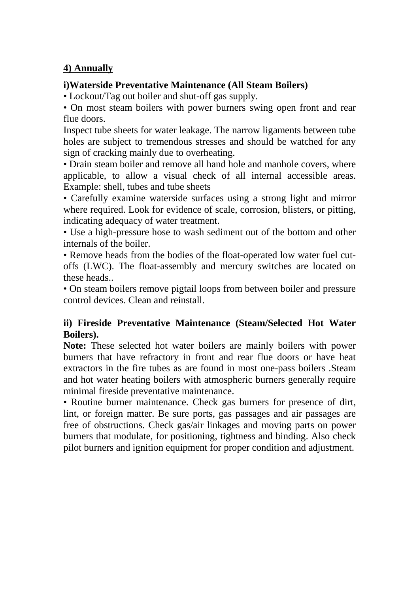# **4) Annually**

### **i)Waterside Preventative Maintenance (All Steam Boilers)**

• Lockout/Tag out boiler and shut-off gas supply.

• On most steam boilers with power burners swing open front and rear flue doors.

Inspect tube sheets for water leakage. The narrow ligaments between tube holes are subject to tremendous stresses and should be watched for any sign of cracking mainly due to overheating.

• Drain steam boiler and remove all hand hole and manhole covers, where applicable, to allow a visual check of all internal accessible areas. Example: shell, tubes and tube sheets

• Carefully examine waterside surfaces using a strong light and mirror where required. Look for evidence of scale, corrosion, blisters, or pitting, indicating adequacy of water treatment.

• Use a high-pressure hose to wash sediment out of the bottom and other internals of the boiler.

• Remove heads from the bodies of the float-operated low water fuel cutoffs (LWC). The float-assembly and mercury switches are located on these heads..

• On steam boilers remove pigtail loops from between boiler and pressure control devices. Clean and reinstall.

### **ii) Fireside Preventative Maintenance (Steam/Selected Hot Water Boilers).**

**Note:** These selected hot water boilers are mainly boilers with power burners that have refractory in front and rear flue doors or have heat extractors in the fire tubes as are found in most one-pass boilers .Steam and hot water heating boilers with atmospheric burners generally require minimal fireside preventative maintenance.

• Routine burner maintenance. Check gas burners for presence of dirt, lint, or foreign matter. Be sure ports, gas passages and air passages are free of obstructions. Check gas/air linkages and moving parts on power burners that modulate, for positioning, tightness and binding. Also check pilot burners and ignition equipment for proper condition and adjustment.